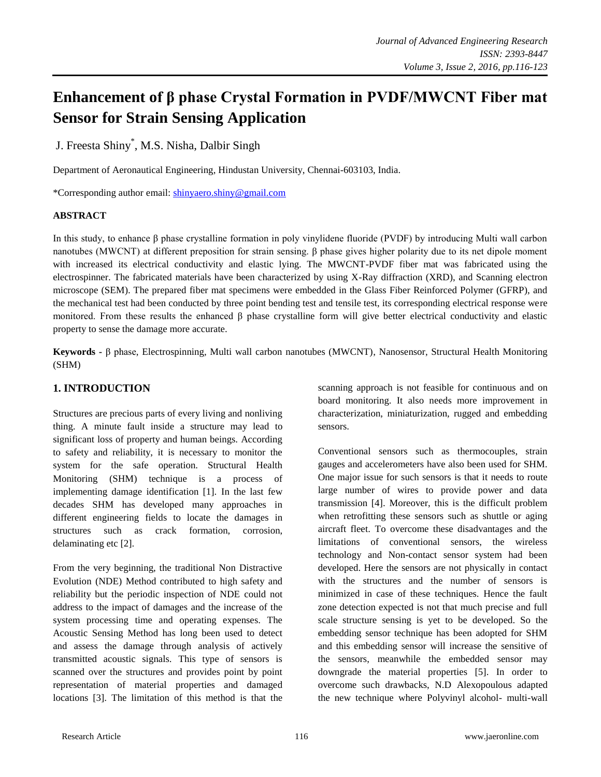# **Enhancement of β phase Crystal Formation in PVDF/MWCNT Fiber mat Sensor for Strain Sensing Application**

J. Freesta Shiny\* , M.S. Nisha, Dalbir Singh

Department of Aeronautical Engineering, Hindustan University, Chennai-603103, India.

\*Corresponding author email: [shinyaero.shiny@gmail.com](mailto:shinyaero.shiny@gmail.com)

## **ABSTRACT**

In this study, to enhance β phase crystalline formation in poly vinylidene fluoride (PVDF) by introducing Multi wall carbon nanotubes (MWCNT) at different preposition for strain sensing. β phase gives higher polarity due to its net dipole moment with increased its electrical conductivity and elastic lying. The MWCNT-PVDF fiber mat was fabricated using the electrospinner. The fabricated materials have been characterized by using X-Ray diffraction (XRD), and Scanning electron microscope (SEM). The prepared fiber mat specimens were embedded in the Glass Fiber Reinforced Polymer (GFRP), and the mechanical test had been conducted by three point bending test and tensile test, its corresponding electrical response were monitored. From these results the enhanced β phase crystalline form will give better electrical conductivity and elastic property to sense the damage more accurate.

**Keywords -** β phase, Electrospinning, Multi wall carbon nanotubes (MWCNT), Nanosensor, Structural Health Monitoring (SHM)

# **1. INTRODUCTION**

Structures are precious parts of every living and nonliving thing. A minute fault inside a structure may lead to significant loss of property and human beings. According to safety and reliability, it is necessary to monitor the system for the safe operation. Structural Health Monitoring (SHM) technique is a process of implementing damage identification [1]. In the last few decades SHM has developed many approaches in different engineering fields to locate the damages in structures such as crack formation, corrosion, delaminating etc [2].

From the very beginning, the traditional Non Distractive Evolution (NDE) Method contributed to high safety and reliability but the periodic inspection of NDE could not address to the impact of damages and the increase of the system processing time and operating expenses. The Acoustic Sensing Method has long been used to detect and assess the damage through analysis of actively transmitted acoustic signals. This type of sensors is scanned over the structures and provides point by point representation of material properties and damaged locations [3]. The limitation of this method is that the scanning approach is not feasible for continuous and on board monitoring. It also needs more improvement in characterization, miniaturization, rugged and embedding sensors.

Conventional sensors such as thermocouples, strain gauges and accelerometers have also been used for SHM. One major issue for such sensors is that it needs to route large number of wires to provide power and data transmission [4]. Moreover, this is the difficult problem when retrofitting these sensors such as shuttle or aging aircraft fleet. To overcome these disadvantages and the limitations of conventional sensors, the wireless technology and Non-contact sensor system had been developed. Here the sensors are not physically in contact with the structures and the number of sensors is minimized in case of these techniques. Hence the fault zone detection expected is not that much precise and full scale structure sensing is yet to be developed. So the embedding sensor technique has been adopted for SHM and this embedding sensor will increase the sensitive of the sensors, meanwhile the embedded sensor may downgrade the material properties [5]. In order to overcome such drawbacks, N.D Alexopoulous adapted the new technique where Polyvinyl alcohol- multi-wall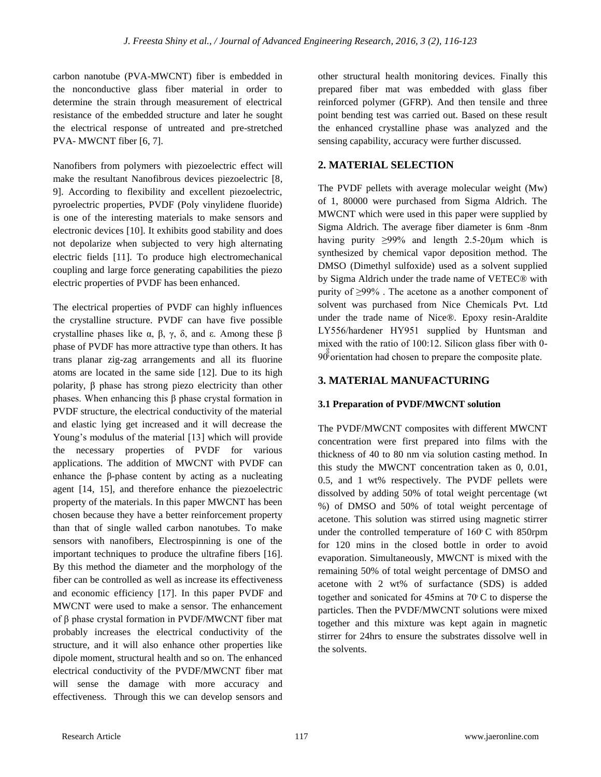carbon nanotube (PVA-MWCNT) fiber is embedded in the nonconductive glass fiber material in order to determine the strain through measurement of electrical resistance of the embedded structure and later he sought the electrical response of untreated and pre-stretched PVA- MWCNT fiber [6, 7].

Nanofibers from polymers with piezoelectric effect will make the resultant Nanofibrous devices piezoelectric [8, 9]. According to flexibility and excellent piezoelectric, pyroelectric properties, PVDF (Poly vinylidene fluoride) is one of the interesting materials to make sensors and electronic devices [10]. It exhibits good stability and does not depolarize when subjected to very high alternating electric fields [11]. To produce high electromechanical coupling and large force generating capabilities the piezo electric properties of PVDF has been enhanced.

The electrical properties of PVDF can highly influences the crystalline structure. PVDF can have five possible crystalline phases like α, β, γ, δ, and ε. Among these β phase of PVDF has more attractive type than others. It has trans planar zig-zag arrangements and all its fluorine atoms are located in the same side [12]. Due to its high polarity, β phase has strong piezo electricity than other phases. When enhancing this β phase crystal formation in PVDF structure, the electrical conductivity of the material and elastic lying get increased and it will decrease the Young's modulus of the material [13] which will provide the necessary properties of PVDF for various applications. The addition of MWCNT with PVDF can enhance the β-phase content by acting as a nucleating agent [14, 15], and therefore enhance the piezoelectric property of the materials. In this paper MWCNT has been chosen because they have a better reinforcement property than that of single walled carbon nanotubes. To make sensors with nanofibers, Electrospinning is one of the important techniques to produce the ultrafine fibers [16]. By this method the diameter and the morphology of the fiber can be controlled as well as increase its effectiveness and economic efficiency [17]. In this paper PVDF and MWCNT were used to make a sensor. The enhancement of β phase crystal formation in PVDF/MWCNT fiber mat probably increases the electrical conductivity of the structure, and it will also enhance other properties like dipole moment, structural health and so on. The enhanced electrical conductivity of the PVDF/MWCNT fiber mat will sense the damage with more accuracy and effectiveness. Through this we can develop sensors and

other structural health monitoring devices. Finally this prepared fiber mat was embedded with glass fiber reinforced polymer (GFRP). And then tensile and three point bending test was carried out. Based on these result the enhanced crystalline phase was analyzed and the sensing capability, accuracy were further discussed.

# **2. MATERIAL SELECTION**

The PVDF pellets with average molecular weight (Mw) of 1, 80000 were purchased from Sigma Aldrich. The MWCNT which were used in this paper were supplied by Sigma Aldrich. The average fiber diameter is 6nm -8nm having purity  $\geq 99\%$  and length 2.5-20 µm which is synthesized by chemical vapor deposition method. The DMSO (Dimethyl sulfoxide) used as a solvent supplied by Sigma Aldrich under the trade name of VETEC® with purity of ≥99% . The acetone as a another component of solvent was purchased from Nice Chemicals Pvt. Ltd under the trade name of Nice®. Epoxy resin-Araldite LY556/hardener HY951 supplied by Huntsman and mixed with the ratio of  $100:12$ . Silicon glass fiber with 0-90<sup>8</sup> orientation had chosen to prepare the composite plate.

# **3. MATERIAL MANUFACTURING**

# **3.1 Preparation of PVDF/MWCNT solution**

The PVDF/MWCNT composites with different MWCNT concentration were first prepared into films with the thickness of 40 to 80 nm via solution casting method. In this study the MWCNT concentration taken as 0, 0.01, 0.5, and 1 wt% respectively. The PVDF pellets were dissolved by adding 50% of total weight percentage (wt %) of DMSO and 50% of total weight percentage of acetone. This solution was stirred using magnetic stirrer under the controlled temperature of 160 C with 850rpm for 120 mins in the closed bottle in order to avoid evaporation. Simultaneously, MWCNT is mixed with the remaining 50% of total weight percentage of DMSO and acetone with 2 wt% of surfactance (SDS) is added together and sonicated for 45mins at 70 C to disperse the particles. Then the PVDF/MWCNT solutions were mixed together and this mixture was kept again in magnetic stirrer for 24hrs to ensure the substrates dissolve well in the solvents.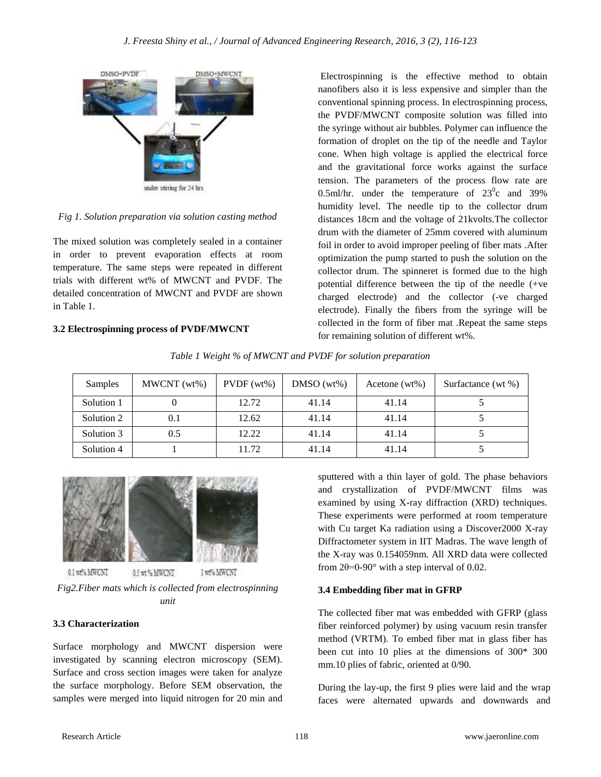

*Fig 1. Solution preparation via solution casting method*

The mixed solution was completely sealed in a container in order to prevent evaporation effects at room temperature. The same steps were repeated in different trials with different wt% of MWCNT and PVDF. The detailed concentration of MWCNT and PVDF are shown in Table 1.

## **3.2 Electrospinning process of PVDF/MWCNT**

Electrospinning is the effective method to obtain nanofibers also it is less expensive and simpler than the conventional spinning process. In electrospinning process, the PVDF/MWCNT composite solution was filled into the syringe without air bubbles. Polymer can influence the formation of droplet on the tip of the needle and Taylor cone. When high voltage is applied the electrical force and the gravitational force works against the surface tension. The parameters of the process flow rate are 0.5ml/hr. under the temperature of  $23^{\circ}$ c and 39% humidity level. The needle tip to the collector drum distances 18cm and the voltage of 21kvolts.The collector drum with the diameter of 25mm covered with aluminum foil in order to avoid improper peeling of fiber mats .After optimization the pump started to push the solution on the collector drum. The spinneret is formed due to the high potential difference between the tip of the needle (+ve charged electrode) and the collector (-ve charged electrode). Finally the fibers from the syringe will be collected in the form of fiber mat .Repeat the same steps for remaining solution of different wt%.

*Table 1 Weight % of MWCNT and PVDF for solution preparation*

| Samples    | MWCNT (wt%) | PVDF(wt%) | $DMSO(wt\%)$ | Acetone $(wt\%)$ | Surfactance (wt %) |
|------------|-------------|-----------|--------------|------------------|--------------------|
| Solution 1 |             | 12.72     | 41.14        | 41.14            |                    |
| Solution 2 | 0.1         | 12.62     | 41.14        | 41.14            |                    |
| Solution 3 | 0.5         | 12.22     | 41.14        | 41.14            |                    |
| Solution 4 |             | 11.72     | 41.14        | 41.14            |                    |



0.1 wf% MWCNT

0.5 mt % MWCNT 1 wt% MWCN1

*Fig2.Fiber mats which is collected from electrospinning unit*

# **3.3 Characterization**

Surface morphology and MWCNT dispersion were investigated by scanning electron microscopy (SEM). Surface and cross section images were taken for analyze the surface morphology. Before SEM observation, the samples were merged into liquid nitrogen for 20 min and sputtered with a thin layer of gold. The phase behaviors and crystallization of PVDF/MWCNT films was examined by using X-ray diffraction (XRD) techniques. These experiments were performed at room temperature with Cu target Ka radiation using a Discover2000 X-ray Diffractometer system in IIT Madras. The wave length of the X-ray was 0.154059nm. All XRD data were collected from  $2\theta = 0.90^\circ$  with a step interval of 0.02.

# **3.4 Embedding fiber mat in GFRP**

The collected fiber mat was embedded with GFRP (glass fiber reinforced polymer) by using vacuum resin transfer method (VRTM). To embed fiber mat in glass fiber has been cut into 10 plies at the dimensions of 300\* 300 mm.10 plies of fabric, oriented at 0/90.

During the lay-up, the first 9 plies were laid and the wrap faces were alternated upwards and downwards and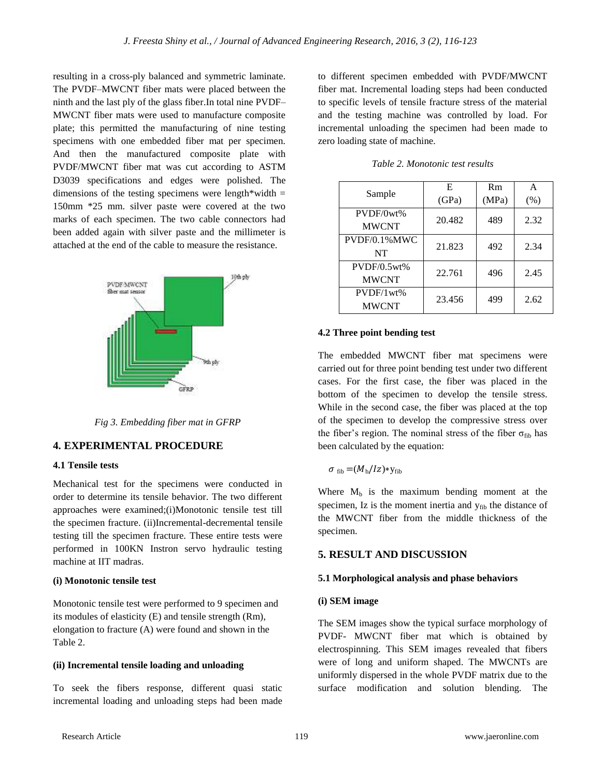resulting in a cross-ply balanced and symmetric laminate. The PVDF–MWCNT fiber mats were placed between the ninth and the last ply of the glass fiber.In total nine PVDF– MWCNT fiber mats were used to manufacture composite plate; this permitted the manufacturing of nine testing specimens with one embedded fiber mat per specimen. And then the manufactured composite plate with PVDF/MWCNT fiber mat was cut according to ASTM D3039 specifications and edges were polished. The dimensions of the testing specimens were length\*width  $=$ 150mm \*25 mm. silver paste were covered at the two marks of each specimen. The two cable connectors had been added again with silver paste and the millimeter is attached at the end of the cable to measure the resistance.



*Fig 3. Embedding fiber mat in GFRP*

## **4. EXPERIMENTAL PROCEDURE**

### **4.1 Tensile tests**

Mechanical test for the specimens were conducted in order to determine its tensile behavior. The two different approaches were examined;(i)Monotonic tensile test till the specimen fracture. (ii)Incremental-decremental tensile testing till the specimen fracture. These entire tests were performed in 100KN Instron servo hydraulic testing machine at IIT madras.

#### **(i) Monotonic tensile test**

Monotonic tensile test were performed to 9 specimen and its modules of elasticity (E) and tensile strength (Rm), elongation to fracture (A) were found and shown in the Table 2.

#### **(ii) Incremental tensile loading and unloading**

To seek the fibers response, different quasi static incremental loading and unloading steps had been made to different specimen embedded with PVDF/MWCNT fiber mat. Incremental loading steps had been conducted to specific levels of tensile fracture stress of the material and the testing machine was controlled by load. For incremental unloading the specimen had been made to zero loading state of machine.

|              | E      | Rm    | А    |  |
|--------------|--------|-------|------|--|
| Sample       | (GPa)  | (MPa) | (% ) |  |
| PVDF/0wt%    | 20.482 | 489   | 2.32 |  |
| <b>MWCNT</b> |        |       |      |  |
| PVDF/0.1%MWC | 21.823 | 492   | 2.34 |  |
| NT           |        |       |      |  |
| PVDF/0.5wt%  | 22.761 | 496   | 2.45 |  |
| <b>MWCNT</b> |        |       |      |  |
| PVDF/1wt%    | 23.456 | 499   | 2.62 |  |
| <b>MWCNT</b> |        |       |      |  |

*Table 2. Monotonic test results*

#### **4.2 Three point bending test**

The embedded MWCNT fiber mat specimens were carried out for three point bending test under two different cases. For the first case, the fiber was placed in the bottom of the specimen to develop the tensile stress. While in the second case, the fiber was placed at the top of the specimen to develop the compressive stress over the fiber's region. The nominal stress of the fiber  $\sigma_{\text{fib}}$  has been calculated by the equation:

$$
\sigma_{\rm fib} = (M_{\rm b}/Iz) \times y_{\rm fib}
$$

Where  $M_b$  is the maximum bending moment at the specimen, Iz is the moment inertia and y<sub>fib</sub> the distance of the MWCNT fiber from the middle thickness of the specimen.

#### **5. RESULT AND DISCUSSION**

#### **5.1 Morphological analysis and phase behaviors**

#### **(i) SEM image**

The SEM images show the typical surface morphology of PVDF- MWCNT fiber mat which is obtained by electrospinning. This SEM images revealed that fibers were of long and uniform shaped. The MWCNTs are uniformly dispersed in the whole PVDF matrix due to the surface modification and solution blending. The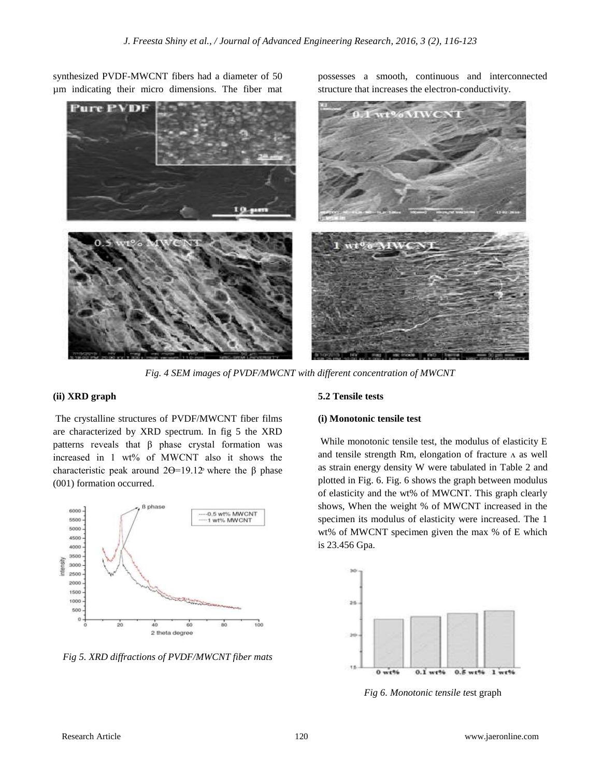synthesized PVDF-MWCNT fibers had a diameter of 50 µm indicating their micro dimensions. The fiber mat



*Fig. 4 SEM images of PVDF/MWCNT with different concentration of MWCNT*

## **(ii) XRD graph**

The crystalline structures of PVDF/MWCNT fiber films are characterized by XRD spectrum. In fig 5 the XRD patterns reveals that β phase crystal formation was increased in 1 wt% of MWCNT also it shows the characteristic peak around  $2\Theta = 19.12$  where the β phase (001) formation occurred.



*Fig 5. XRD diffractions of PVDF/MWCNT fiber mats*

#### **5.2 Tensile tests**

#### **(i) Monotonic tensile test**

While monotonic tensile test, the modulus of elasticity E and tensile strength Rm, elongation of fracture  $\Lambda$  as well as strain energy density W were tabulated in Table 2 and plotted in Fig. 6. Fig. 6 shows the graph between modulus of elasticity and the wt% of MWCNT. This graph clearly shows, When the weight % of MWCNT increased in the specimen its modulus of elasticity were increased. The 1 wt% of MWCNT specimen given the max % of E which is 23.456 Gpa.

possesses a smooth, continuous and interconnected

structure that increases the electron-conductivity.



*Fig 6. Monotonic tensile te*st graph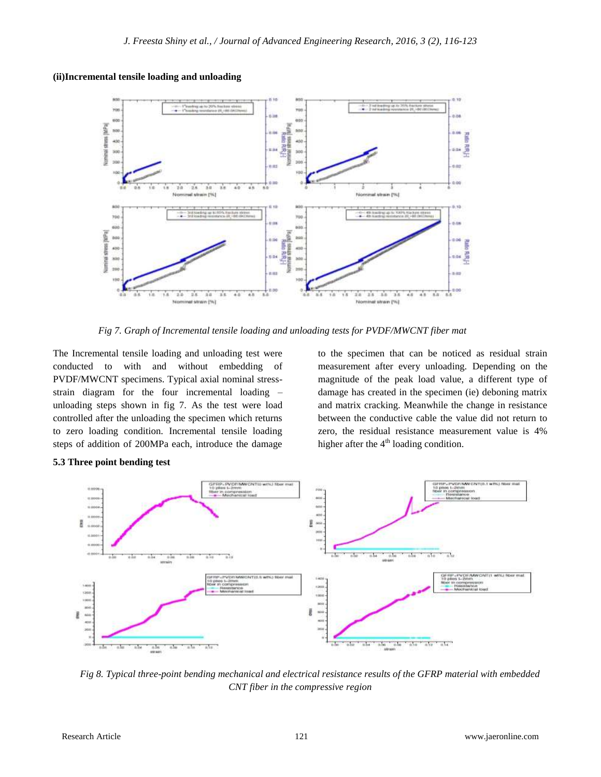## **(ii)Incremental tensile loading and unloading**



*Fig 7. Graph of Incremental tensile loading and unloading tests for PVDF/MWCNT fiber mat*

The Incremental tensile loading and unloading test were conducted to with and without embedding of PVDF/MWCNT specimens. Typical axial nominal stressstrain diagram for the four incremental loading – unloading steps shown in fig 7. As the test were load controlled after the unloading the specimen which returns to zero loading condition. Incremental tensile loading steps of addition of 200MPa each, introduce the damage

to the specimen that can be noticed as residual strain measurement after every unloading. Depending on the magnitude of the peak load value, a different type of damage has created in the specimen (ie) deboning matrix and matrix cracking. Meanwhile the change in resistance between the conductive cable the value did not return to zero, the residual resistance measurement value is 4% higher after the  $4<sup>th</sup>$  loading condition.



*Fig 8. Typical three-point bending mechanical and electrical resistance results of the GFRP material with embedded CNT fiber in the compressive region*

**5.3 Three point bending test**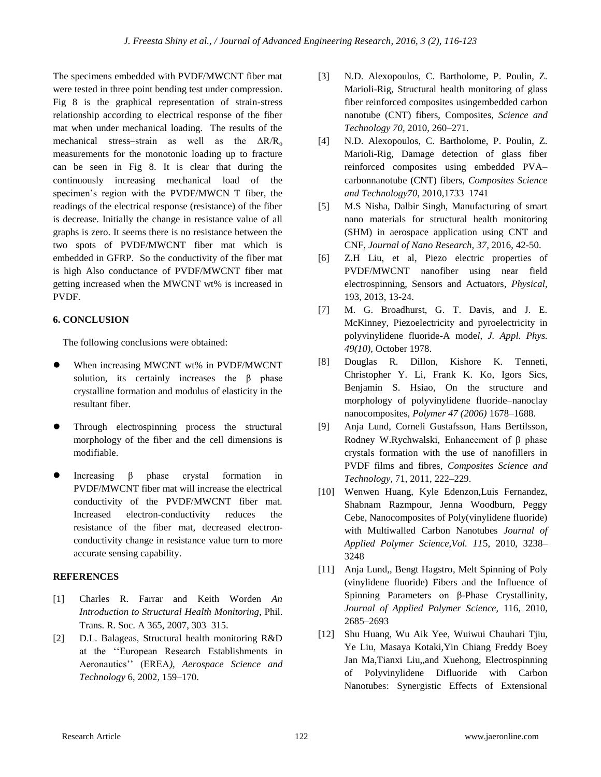The specimens embedded with PVDF/MWCNT fiber mat were tested in three point bending test under compression. Fig 8 is the graphical representation of strain-stress relationship according to electrical response of the fiber mat when under mechanical loading. The results of the mechanical stress–strain as well as the  $\Delta R/R_0$ measurements for the monotonic loading up to fracture can be seen in Fig 8. It is clear that during the continuously increasing mechanical load of the specimen's region with the PVDF/MWCN T fiber, the readings of the electrical response (resistance) of the fiber is decrease. Initially the change in resistance value of all graphs is zero. It seems there is no resistance between the two spots of PVDF/MWCNT fiber mat which is embedded in GFRP. So the conductivity of the fiber mat is high Also conductance of PVDF/MWCNT fiber mat getting increased when the MWCNT wt% is increased in PVDF.

# **6. CONCLUSION**

The following conclusions were obtained:

- When increasing MWCNT wt% in PVDF/MWCNT solution, its certainly increases the β phase crystalline formation and modulus of elasticity in the resultant fiber.
- Through electrospinning process the structural morphology of the fiber and the cell dimensions is modifiable.
- Increasing β phase crystal formation in PVDF/MWCNT fiber mat will increase the electrical conductivity of the PVDF/MWCNT fiber mat. Increased electron-conductivity reduces the resistance of the fiber mat, decreased electronconductivity change in resistance value turn to more accurate sensing capability.

## **REFERENCES**

- [1] Charles R. Farrar and Keith Worden *An Introduction to Structural Health Monitoring*, Phil. Trans. R. Soc. A 365, 2007, 303–315.
- [2] D.L. Balageas, Structural health monitoring R&D at the ''European Research Establishments in Aeronautics'' (EREA*), Aerospace Science and Technology* 6, 2002, 159–170.
- [3] N.D. Alexopoulos, C. Bartholome, P. Poulin, Z. Marioli-Rig, Structural health monitoring of glass fiber reinforced composites usingembedded carbon nanotube (CNT) fibers, Composites, *Science and Technology 70,* 2010, 260–271.
- [4] N.D. Alexopoulos, C. Bartholome, P. Poulin, Z. Marioli-Rig, Damage detection of glass fiber reinforced composites using embedded PVA– carbonnanotube (CNT) fibers, *Composites Science and Technology70*, 2010,1733–1741
- [5] M.S Nisha, Dalbir Singh, Manufacturing of smart nano materials for structural health monitoring (SHM) in aerospace application using CNT and CNF, *Journal of Nano Research, 37,* 2016, 42-50.
- [6] Z.H Liu, et al, Piezo electric properties of PVDF/MWCNT nanofiber using near field electrospinning, Sensors and Actuators, *Physical,*  193, 2013, 13-24.
- [7] M. G. Broadhurst, G. T. Davis, and J. E. McKinney, Piezoelectricity and pyroelectricity in polyvinylidene fluoride-A mode*l, J. Appl. Phys. 49(10),* October 1978.
- [8] Douglas R. Dillon, Kishore K. Tenneti, Christopher Y. Li, Frank K. Ko, Igors Sics, Benjamin S. Hsiao, On the structure and morphology of polyvinylidene fluoride–nanoclay nanocomposites, *Polymer 47 (2006)* 1678–1688.
- [9] Anja Lund, Corneli Gustafsson, Hans Bertilsson, Rodney W.Rychwalski, Enhancement of β phase crystals formation with the use of nanofillers in PVDF films and fibres, *Composites Science and Technology,* 71, 2011, 222–229.
- [10] Wenwen Huang, Kyle Edenzon,Luis Fernandez, Shabnam Razmpour, Jenna Woodburn, Peggy Cebe, Nanocomposites of Poly(vinylidene fluoride) with Multiwalled Carbon Nanotubes *Journal of Applied Polymer Science,Vol. 11*5, 2010, 3238– 3248
- [11] Anja Lund., Bengt Hagstro, Melt Spinning of Poly (vinylidene fluoride) Fibers and the Influence of Spinning Parameters on β-Phase Crystallinity, *Journal of Applied Polymer Science*, 116, 2010, 2685–2693
- [12] Shu Huang, Wu Aik Yee, Wuiwui Chauhari Tjiu, Ye Liu, Masaya Kotaki,Yin Chiang Freddy Boey Jan Ma,Tianxi Liu,,and Xuehong, Electrospinning of Polyvinylidene Difluoride with Carbon Nanotubes: Synergistic Effects of Extensional